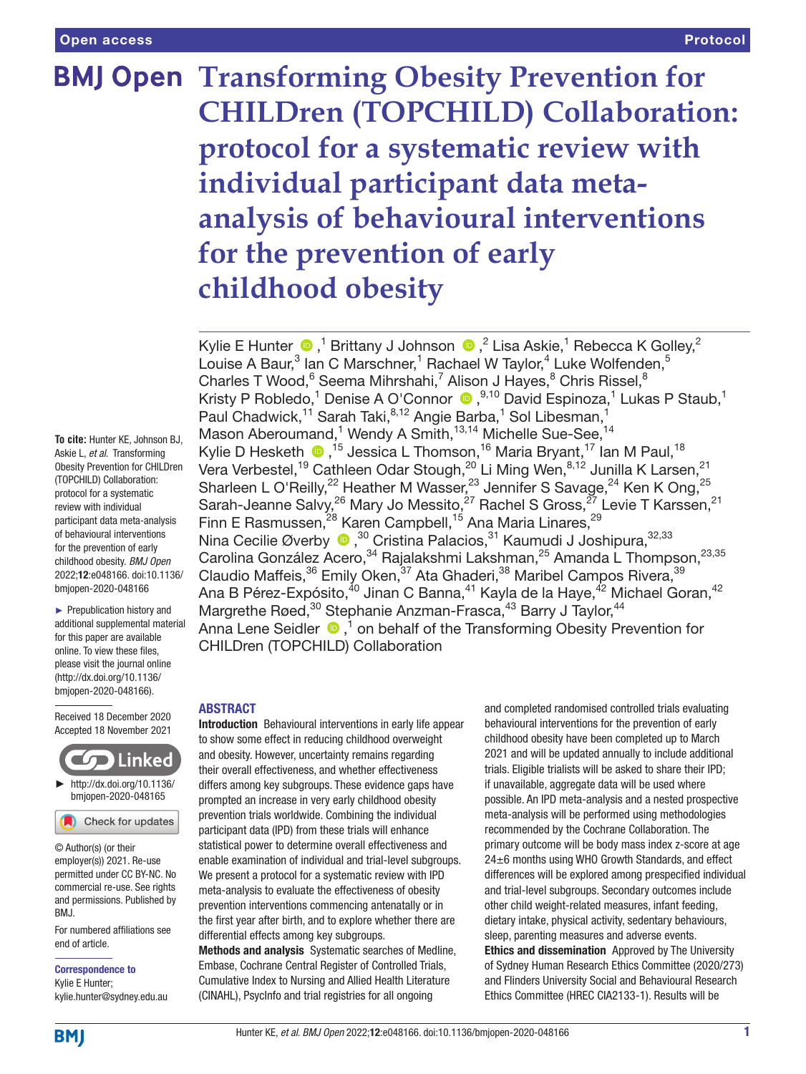# **BMJ Open Transforming Obesity Prevention for CHILDren (TOPCHILD) Collaboration: protocol for a systematic review with individual participant data metaanalysis of behavioural interventions for the prevention of early childhood obesity**

KylieE Hunter  $\bigcirc$  ,<sup>1</sup> Brittany J Johnson  $\bigcirc$  ,<sup>2</sup> Lisa Askie,<sup>1</sup> Rebecca K Golley,<sup>2</sup> Louise A Baur,<sup>3</sup> Ian C Marschner,<sup>1</sup> Rachael W Taylor,<sup>4</sup> Luke Wolfenden,<sup>5</sup> Charles T Wood,<sup>6</sup> Seema Mihrshahi,<sup>7</sup> Alison J Hayes,<sup>8</sup> Chris Rissel,<sup>8</sup> Kristy P Robledo,<sup>1</sup> Denise A O'Connor <sup>®</sup>,<sup>9,10</sup> David Espinoza,<sup>1</sup> Lukas P Staub,<sup>1</sup> Paul Chadwick,<sup>11</sup> Sarah Taki,<sup>8,12</sup> Angie Barba,<sup>1</sup> Sol Libesman,<sup>1</sup> Mason Aberoumand,<sup>1</sup> Wendy A Smith,<sup>13,14</sup> Michelle Sue-See,<sup>14</sup> Kylie D Hesketh  $\bigcirc$ , <sup>15</sup> Jessica L Thomson, <sup>16</sup> Maria Bryant, <sup>17</sup> Ian M Paul, <sup>18</sup> Vera Verbestel,<sup>19</sup> Cathleen Odar Stough,<sup>20</sup> Li Ming Wen,<sup>8,12</sup> Junilla K Larsen,<sup>21</sup> Sharleen L O'Reilly,<sup>22</sup> Heather M Wasser,<sup>23</sup> Jennifer S Savage,<sup>24</sup> Ken K Ong,<sup>25</sup> Sarah-Jeanne Salvy,<sup>26</sup> Mary Jo Messito,<sup>27</sup> Rachel S Gross,<sup>27</sup> Levie T Karssen,<sup>21</sup> Finn E Rasmussen, <sup>28</sup> Karen Campbell, <sup>15</sup> Ana Maria Linares, <sup>29</sup> Nina Cecilie Øverby  $\bullet$ ,<sup>30</sup> Cristina Palacios,  $31$  Kaumudi J Joshipura,  $32,33$ Carolina González Acero,<sup>34</sup> Rajalakshmi Lakshman,<sup>25</sup> Amanda L Thompson,<sup>23,35</sup> Claudio Maffeis,<sup>36</sup> Emily Oken,<sup>37</sup> Ata Ghaderi,<sup>38</sup> Maribel Campos Rivera,<sup>39</sup> Ana B Pérez-Expósito, $^{40}$  Jinan C Banna, $^{41}$  Kayla de la Haye, $^{42}$  Michael Goran, $^{42}$ Margrethe Røed,<sup>30</sup> Stephanie Anzman-Frasca,<sup>43</sup> Barry J Taylor,<sup>44</sup> AnnaLene Seidler  $\bigcirc$ ,<sup>1</sup> on behalf of the Transforming Obesity Prevention for CHILDren (TOPCHILD) Collaboration

# ABSTRACT

Introduction Behavioural interventions in early life appear to show some effect in reducing childhood overweight and obesity. However, uncertainty remains regarding their overall effectiveness, and whether effectiveness differs among key subgroups. These evidence gaps have prompted an increase in very early childhood obesity prevention trials worldwide. Combining the individual participant data (IPD) from these trials will enhance statistical power to determine overall effectiveness and enable examination of individual and trial-level subgroups. We present a protocol for a systematic review with IPD meta-analysis to evaluate the effectiveness of obesity prevention interventions commencing antenatally or in the first year after birth, and to explore whether there are differential effects among key subgroups.

Methods and analysis Systematic searches of Medline, Embase, Cochrane Central Register of Controlled Trials, Cumulative Index to Nursing and Allied Health Literature (CINAHL), PsycInfo and trial registries for all ongoing

and completed randomised controlled trials evaluating behavioural interventions for the prevention of early childhood obesity have been completed up to March 2021 and will be updated annually to include additional trials. Eligible trialists will be asked to share their IPD; if unavailable, aggregate data will be used where possible. An IPD meta-analysis and a nested prospective meta-analysis will be performed using methodologies recommended by the Cochrane Collaboration. The primary outcome will be body mass index z-score at age 24±6 months using WHO Growth Standards, and effect differences will be explored among prespecified individual and trial-level subgroups. Secondary outcomes include other child weight-related measures, infant feeding, dietary intake, physical activity, sedentary behaviours, sleep, parenting measures and adverse events. Ethics and dissemination Approved by The University of Sydney Human Research Ethics Committee (2020/273) and Flinders University Social and Behavioural Research Ethics Committee (HREC CIA2133-1). Results will be

**To cite:** Hunter KE, Johnson BJ, Askie L, *et al*. Transforming Obesity Prevention for CHILDren (TOPCHILD) Collaboration: protocol for a systematic review with individual participant data meta-analysis of behavioural interventions for the prevention of early childhood obesity. *BMJ Open* 2022;12:e048166. doi:10.1136/ bmjopen-2020-048166

► Prepublication history and additional supplemental material for this paper are available online. To view these files, please visit the journal online [\(http://dx.doi.org/10.1136/](http://dx.doi.org/10.1136/bmjopen-2020-048166) [bmjopen-2020-048166](http://dx.doi.org/10.1136/bmjopen-2020-048166)).

Received 18 December 2020 Accepted 18 November 2021



Check for updates

© Author(s) (or their employer(s)) 2021. Re-use permitted under CC BY-NC. No commercial re-use. See rights and permissions. Published by BMJ.

For numbered affiliations see end of article.

Correspondence to Kylie E Hunter; kylie.hunter@sydney.edu.au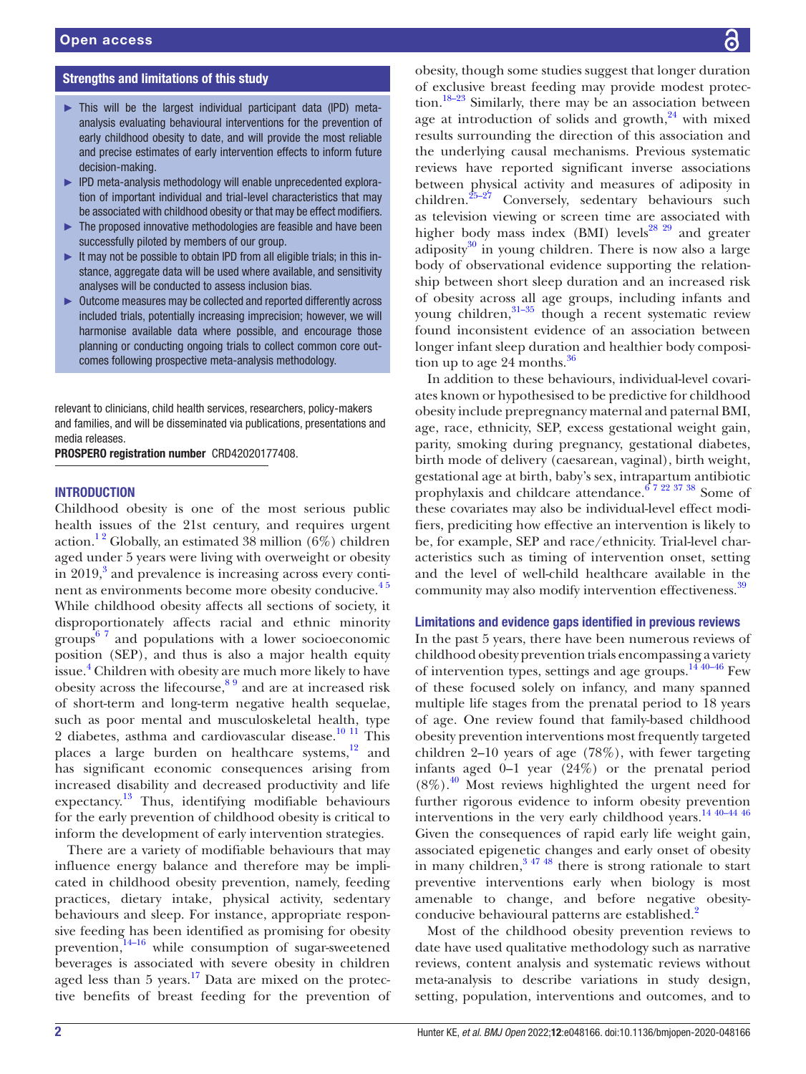# Strengths and limitations of this study

- ► This will be the largest individual participant data (IPD) metaanalysis evaluating behavioural interventions for the prevention of early childhood obesity to date, and will provide the most reliable and precise estimates of early intervention effects to inform future decision-making.
- ► IPD meta-analysis methodology will enable unprecedented exploration of important individual and trial-level characteristics that may be associated with childhood obesity or that may be effect modifiers.
- ► The proposed innovative methodologies are feasible and have been successfully piloted by members of our group.
- ► It may not be possible to obtain IPD from all eligible trials; in this instance, aggregate data will be used where available, and sensitivity analyses will be conducted to assess inclusion bias.
- ► Outcome measures may be collected and reported differently across included trials, potentially increasing imprecision; however, we will harmonise available data where possible, and encourage those planning or conducting ongoing trials to collect common core outcomes following prospective meta-analysis methodology.

relevant to clinicians, child health services, researchers, policy-makers and families, and will be disseminated via publications, presentations and media releases.

PROSPERO registration number CRD42020177408.

# **INTRODUCTION**

Childhood obesity is one of the most serious public health issues of the 21st century, and requires urgent action.<sup>12</sup> Globally, an estimated 38 million (6%) children aged under 5 years were living with overweight or obesity in 2019,<sup>[3](#page-9-1)</sup> and prevalence is increasing across every continent as environments become more obesity conducive.<sup>45</sup> While childhood obesity affects all sections of society, it disproportionately affects racial and ethnic minority groups $67$  and populations with a lower socioeconomic position (SEP), and thus is also a major health equity issue.[4](#page-9-2) Children with obesity are much more likely to have obesity across the lifecourse,[8 9](#page-9-4) and are at increased risk of short-term and long-term negative health sequelae, such as poor mental and musculoskeletal health, type 2 diabetes, asthma and cardiovascular disease.<sup>10 11</sup> This places a large burden on healthcare systems, $12$  and has significant economic consequences arising from increased disability and decreased productivity and life expectancy.[13](#page-9-7) Thus, identifying modifiable behaviours for the early prevention of childhood obesity is critical to inform the development of early intervention strategies.

There are a variety of modifiable behaviours that may influence energy balance and therefore may be implicated in childhood obesity prevention, namely, feeding practices, dietary intake, physical activity, sedentary behaviours and sleep. For instance, appropriate responsive feeding has been identified as promising for obesity prevention, $14-16$  while consumption of sugar-sweetened beverages is associated with severe obesity in children aged less than  $5$  years.<sup>17</sup> Data are mixed on the protective benefits of breast feeding for the prevention of

obesity, though some studies suggest that longer duration of exclusive breast feeding may provide modest protection.<sup>18–23</sup> Similarly, there may be an association between age at introduction of solids and growth, $24$  with mixed results surrounding the direction of this association and the underlying causal mechanisms. Previous systematic reviews have reported significant inverse associations between physical activity and measures of adiposity in children[.25–27](#page-9-12) Conversely, sedentary behaviours such as television viewing or screen time are associated with higher body mass index (BMI) levels<sup>28 29</sup> and greater adiposity $30$  in young children. There is now also a large body of observational evidence supporting the relationship between short sleep duration and an increased risk of obesity across all age groups, including infants and young children, $31-35$  though a recent systematic review found inconsistent evidence of an association between longer infant sleep duration and healthier body composition up to age 24 months. $36$ 

In addition to these behaviours, individual-level covariates known or hypothesised to be predictive for childhood obesity include prepregnancy maternal and paternal BMI, age, race, ethnicity, SEP, excess gestational weight gain, parity, smoking during pregnancy, gestational diabetes, birth mode of delivery (caesarean, vaginal), birth weight, gestational age at birth, baby's sex, intrapartum antibiotic prophylaxis and childcare attendance.[6 7 22 37 38](#page-9-3) Some of these covariates may also be individual-level effect modifiers, prediciting how effective an intervention is likely to be, for example, SEP and race/ethnicity. Trial-level characteristics such as timing of intervention onset, setting and the level of well-child healthcare available in the community may also modify intervention effectiveness.<sup>[39](#page-10-2)</sup>

#### Limitations and evidence gaps identified in previous reviews

In the past 5 years, there have been numerous reviews of childhood obesity prevention trials encompassing a variety of intervention types, settings and age groups.<sup>14 40–46</sup> Few of these focused solely on infancy, and many spanned multiple life stages from the prenatal period to 18 years of age. One review found that family-based childhood obesity prevention interventions most frequently targeted children 2–10 years of age (78%), with fewer targeting infants aged 0–1 year (24%) or the prenatal period  $(8\%)$ <sup>40</sup> Most reviews highlighted the urgent need for further rigorous evidence to inform obesity prevention interventions in the very early childhood years.[14 40–44 46](#page-9-8) Given the consequences of rapid early life weight gain, associated epigenetic changes and early onset of obesity in many children,  $3^{47}$  48 there is strong rationale to start preventive interventions early when biology is most amenable to change, and before negative obesity-conducive behavioural patterns are established.<sup>[2](#page-9-15)</sup>

Most of the childhood obesity prevention reviews to date have used qualitative methodology such as narrative reviews, content analysis and systematic reviews without meta-analysis to describe variations in study design, setting, population, interventions and outcomes, and to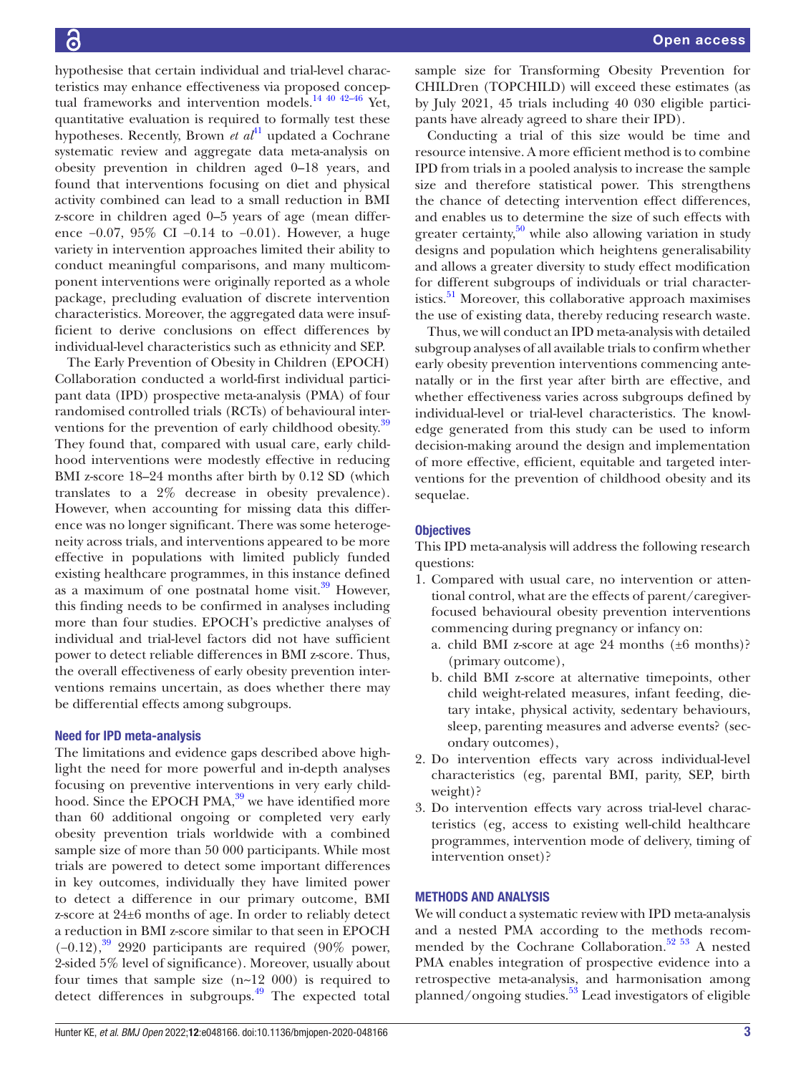hypothesise that certain individual and trial-level characteristics may enhance effectiveness via proposed conceptual frameworks and intervention models.<sup>14 40 42-46</sup> Yet. quantitative evaluation is required to formally test these hypotheses. Recently, Brown  $et \t a t^{41}$  updated a Cochrane systematic review and aggregate data meta-analysis on obesity prevention in children aged 0–18 years, and found that interventions focusing on diet and physical activity combined can lead to a small reduction in BMI z-score in children aged 0–5 years of age (mean difference −0.07, 95% CI −0.14 to −0.01). However, a huge variety in intervention approaches limited their ability to conduct meaningful comparisons, and many multicomponent interventions were originally reported as a whole package, precluding evaluation of discrete intervention characteristics. Moreover, the aggregated data were insufficient to derive conclusions on effect differences by individual-level characteristics such as ethnicity and SEP.

The Early Prevention of Obesity in Children (EPOCH) Collaboration conducted a world-first individual participant data (IPD) prospective meta-analysis (PMA) of four randomised controlled trials (RCTs) of behavioural inter-ventions for the prevention of early childhood obesity.<sup>[39](#page-10-2)</sup> They found that, compared with usual care, early childhood interventions were modestly effective in reducing BMI z-score 18–24 months after birth by 0.12 SD (which translates to a 2% decrease in obesity prevalence). However, when accounting for missing data this difference was no longer significant. There was some heterogeneity across trials, and interventions appeared to be more effective in populations with limited publicly funded existing healthcare programmes, in this instance defined as a maximum of one postnatal home visit. $39$  However, this finding needs to be confirmed in analyses including more than four studies. EPOCH's predictive analyses of individual and trial-level factors did not have sufficient power to detect reliable differences in BMI z-score. Thus, the overall effectiveness of early obesity prevention interventions remains uncertain, as does whether there may be differential effects among subgroups.

# Need for IPD meta-analysis

The limitations and evidence gaps described above highlight the need for more powerful and in-depth analyses focusing on preventive interventions in very early childhood. Since the EPOCH PMA,<sup>39</sup> we have identified more than 60 additional ongoing or completed very early obesity prevention trials worldwide with a combined sample size of more than 50 000 participants. While most trials are powered to detect some important differences in key outcomes, individually they have limited power to detect a difference in our primary outcome, BMI z-score at 24±6 months of age. In order to reliably detect a reduction in BMI z-score similar to that seen in EPOCH  $(-0.12)$ ,<sup>39</sup> 2920 participants are required (90% power, 2-sided 5% level of significance). Moreover, usually about four times that sample size  $(n-12\ 000)$  is required to detect differences in subgroups.<sup>49</sup> The expected total

sample size for Transforming Obesity Prevention for CHILDren (TOPCHILD) will exceed these estimates (as by July 2021, 45 trials including 40 030 eligible participants have already agreed to share their IPD).

Conducting a trial of this size would be time and resource intensive. A more efficient method is to combine IPD from trials in a pooled analysis to increase the sample size and therefore statistical power. This strengthens the chance of detecting intervention effect differences, and enables us to determine the size of such effects with greater certainty, $50$  while also allowing variation in study designs and population which heightens generalisability and allows a greater diversity to study effect modification for different subgroups of individuals or trial characteristics.<sup>51</sup> Moreover, this collaborative approach maximises the use of existing data, thereby reducing research waste.

Thus, we will conduct an IPD meta-analysis with detailed subgroup analyses of all available trials to confirm whether early obesity prevention interventions commencing antenatally or in the first year after birth are effective, and whether effectiveness varies across subgroups defined by individual-level or trial-level characteristics. The knowledge generated from this study can be used to inform decision-making around the design and implementation of more effective, efficient, equitable and targeted interventions for the prevention of childhood obesity and its sequelae.

# **Objectives**

This IPD meta-analysis will address the following research questions:

- 1. Compared with usual care, no intervention or attentional control, what are the effects of parent/caregiverfocused behavioural obesity prevention interventions commencing during pregnancy or infancy on:
	- a. child BMI z-score at age 24 months (±6 months)? (primary outcome),
	- b. child BMI z-score at alternative timepoints, other child weight-related measures, infant feeding, dietary intake, physical activity, sedentary behaviours, sleep, parenting measures and adverse events? (secondary outcomes),
- 2. Do intervention effects vary across individual-level characteristics (eg, parental BMI, parity, SEP, birth weight)?
- 3. Do intervention effects vary across trial-level characteristics (eg, access to existing well-child healthcare programmes, intervention mode of delivery, timing of intervention onset)?

# METHODS AND ANALYSIS

We will conduct a systematic review with IPD meta-analysis and a nested PMA according to the methods recommended by the Cochrane Collaboration. $52\,53$  A nested PMA enables integration of prospective evidence into a retrospective meta-analysis, and harmonisation among planned/ongoing studies.<sup>53</sup> Lead investigators of eligible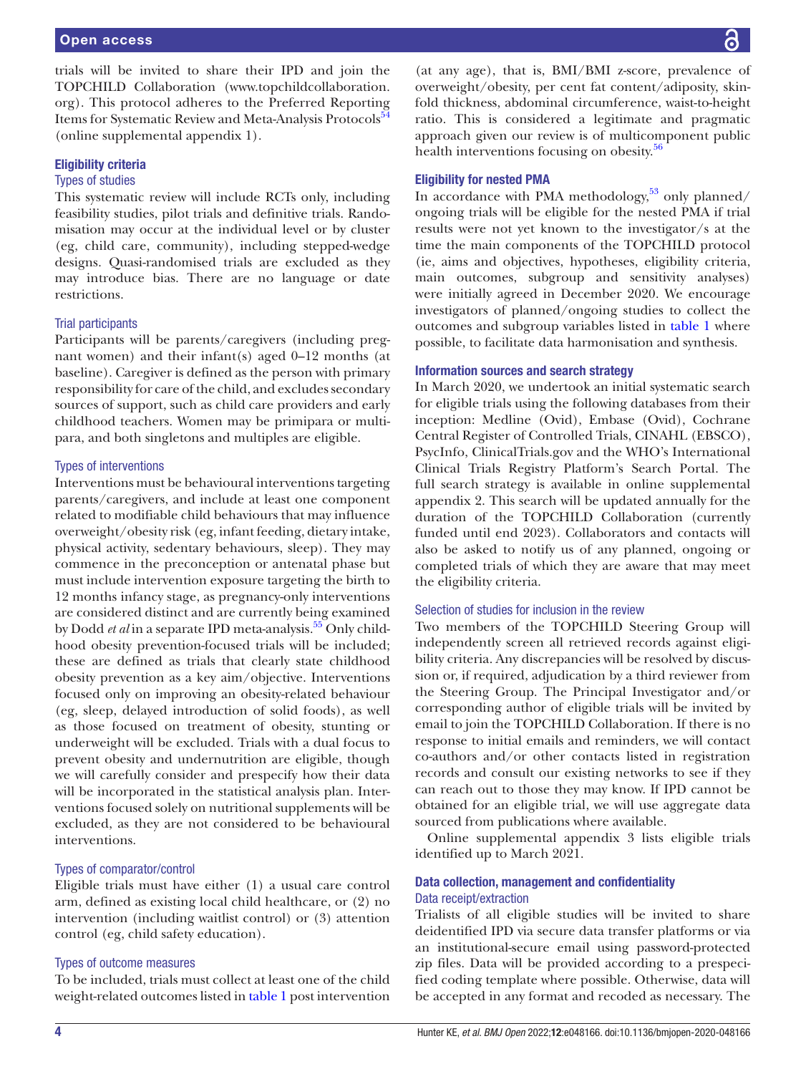trials will be invited to share their IPD and join the TOPCHILD Collaboration ([www.topchildcollaboration.](www.topchildcollaboration.org) [org](www.topchildcollaboration.org)). This protocol adheres to the Preferred Reporting Items for Systematic Review and Meta-Analysis Protocols<sup>54</sup> ([online supplemental appendix 1](https://dx.doi.org/10.1136/bmjopen-2020-048166)).

# Eligibility criteria

# Types of studies

This systematic review will include RCTs only, including feasibility studies, pilot trials and definitive trials. Randomisation may occur at the individual level or by cluster (eg, child care, community), including stepped-wedge designs. Quasi-randomised trials are excluded as they may introduce bias. There are no language or date restrictions.

#### Trial participants

Participants will be parents/caregivers (including pregnant women) and their infant(s) aged 0–12 months (at baseline). Caregiver is defined as the person with primary responsibility for care of the child, and excludes secondary sources of support, such as child care providers and early childhood teachers. Women may be primipara or multipara, and both singletons and multiples are eligible.

### Types of interventions

Interventions must be behavioural interventions targeting parents/caregivers, and include at least one component related to modifiable child behaviours that may influence overweight/obesity risk (eg, infant feeding, dietary intake, physical activity, sedentary behaviours, sleep). They may commence in the preconception or antenatal phase but must include intervention exposure targeting the birth to 12 months infancy stage, as pregnancy-only interventions are considered distinct and are currently being examined by Dodd *et al* in a separate IPD meta-analysis.<sup>55</sup> Only childhood obesity prevention-focused trials will be included; these are defined as trials that clearly state childhood obesity prevention as a key aim/objective. Interventions focused only on improving an obesity-related behaviour (eg, sleep, delayed introduction of solid foods), as well as those focused on treatment of obesity, stunting or underweight will be excluded. Trials with a dual focus to prevent obesity and undernutrition are eligible, though we will carefully consider and prespecify how their data will be incorporated in the statistical analysis plan. Interventions focused solely on nutritional supplements will be excluded, as they are not considered to be behavioural interventions.

# Types of comparator/control

Eligible trials must have either (1) a usual care control arm, defined as existing local child healthcare, or (2) no intervention (including waitlist control) or (3) attention control (eg, child safety education).

#### Types of outcome measures

To be included, trials must collect at least one of the child weight-related outcomes listed in [table](#page-4-0) 1 post intervention

(at any age), that is, BMI/BMI z-score, prevalence of overweight/obesity, per cent fat content/adiposity, skinfold thickness, abdominal circumference, waist-to-height ratio. This is considered a legitimate and pragmatic approach given our review is of multicomponent public health interventions focusing on obesity.<sup>56</sup>

# Eligibility for nested PMA

In accordance with PMA methodology,  $53$  only planned/ ongoing trials will be eligible for the nested PMA if trial results were not yet known to the investigator/s at the time the main components of the TOPCHILD protocol (ie, aims and objectives, hypotheses, eligibility criteria, main outcomes, subgroup and sensitivity analyses) were initially agreed in December 2020. We encourage investigators of planned/ongoing studies to collect the outcomes and subgroup variables listed in [table](#page-4-0) 1 where possible, to facilitate data harmonisation and synthesis.

# Information sources and search strategy

In March 2020, we undertook an initial systematic search for eligible trials using the following databases from their inception: Medline (Ovid), Embase (Ovid), Cochrane Central Register of Controlled Trials, CINAHL (EBSCO), PsycInfo, ClinicalTrials.gov and the WHO's International Clinical Trials Registry Platform's Search Portal. The full search strategy is available in [online supplemental](https://dx.doi.org/10.1136/bmjopen-2020-048166)  [appendix 2](https://dx.doi.org/10.1136/bmjopen-2020-048166). This search will be updated annually for the duration of the TOPCHILD Collaboration (currently funded until end 2023). Collaborators and contacts will also be asked to notify us of any planned, ongoing or completed trials of which they are aware that may meet the eligibility criteria.

# Selection of studies for inclusion in the review

Two members of the TOPCHILD Steering Group will independently screen all retrieved records against eligibility criteria. Any discrepancies will be resolved by discussion or, if required, adjudication by a third reviewer from the Steering Group. The Principal Investigator and/or corresponding author of eligible trials will be invited by email to join the TOPCHILD Collaboration. If there is no response to initial emails and reminders, we will contact co-authors and/or other contacts listed in registration records and consult our existing networks to see if they can reach out to those they may know. If IPD cannot be obtained for an eligible trial, we will use aggregate data sourced from publications where available.

[Online supplemental appendix 3](https://dx.doi.org/10.1136/bmjopen-2020-048166) lists eligible trials identified up to March 2021.

# Data collection, management and confidentiality Data receipt/extraction

Trialists of all eligible studies will be invited to share deidentified IPD via secure data transfer platforms or via an institutional-secure email using password-protected zip files. Data will be provided according to a prespecified coding template where possible. Otherwise, data will be accepted in any format and recoded as necessary. The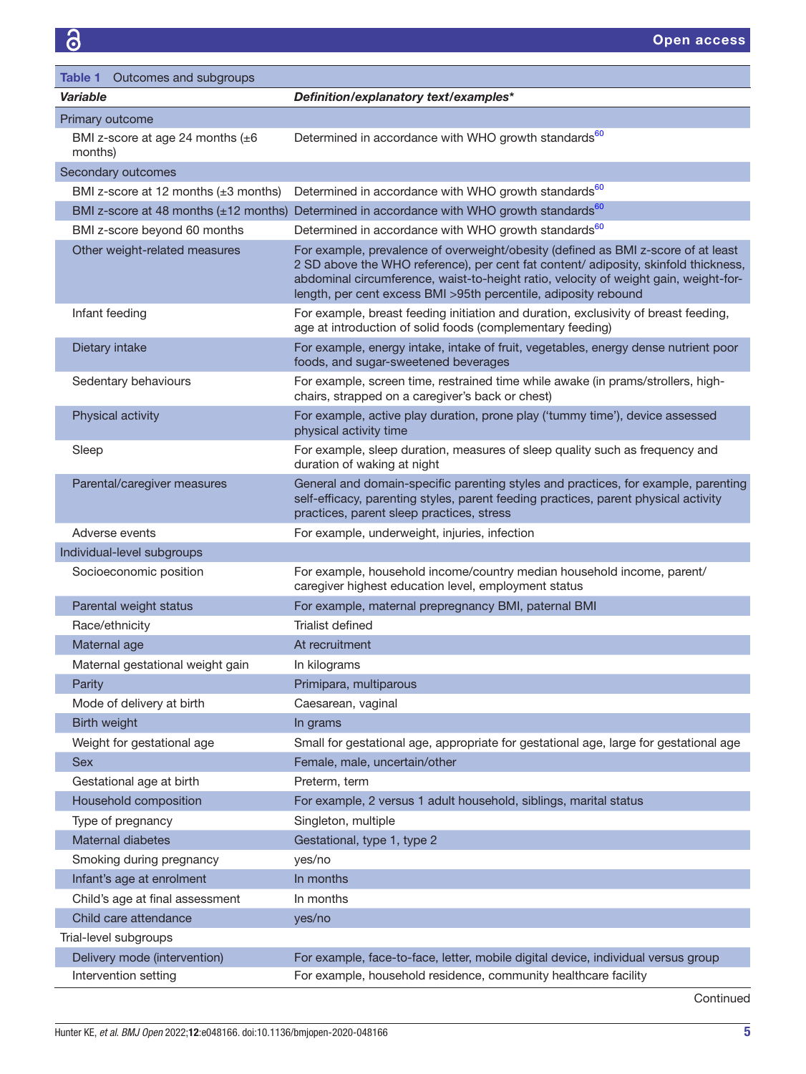<span id="page-4-0"></span>

| <b>Table 1</b> Outcomes and subgroups              |                                                                                                                                                                                                                                                                                                                                     |
|----------------------------------------------------|-------------------------------------------------------------------------------------------------------------------------------------------------------------------------------------------------------------------------------------------------------------------------------------------------------------------------------------|
| Variable                                           | Definition/explanatory text/examples*                                                                                                                                                                                                                                                                                               |
| Primary outcome                                    |                                                                                                                                                                                                                                                                                                                                     |
| BMI z-score at age 24 months $(\pm 6)$<br>months)  | Determined in accordance with WHO growth standards <sup>60</sup>                                                                                                                                                                                                                                                                    |
| Secondary outcomes                                 |                                                                                                                                                                                                                                                                                                                                     |
| BMI z-score at 12 months $(\pm 3$ months)          | Determined in accordance with WHO growth standards <sup>60</sup>                                                                                                                                                                                                                                                                    |
| BMI z-score at 48 months $(\pm 12 \text{ months})$ | Determined in accordance with WHO growth standards <sup>60</sup>                                                                                                                                                                                                                                                                    |
| BMI z-score beyond 60 months                       | Determined in accordance with WHO growth standards <sup>60</sup>                                                                                                                                                                                                                                                                    |
| Other weight-related measures                      | For example, prevalence of overweight/obesity (defined as BMI z-score of at least<br>2 SD above the WHO reference), per cent fat content/ adiposity, skinfold thickness,<br>abdominal circumference, waist-to-height ratio, velocity of weight gain, weight-for-<br>length, per cent excess BMI >95th percentile, adiposity rebound |
| Infant feeding                                     | For example, breast feeding initiation and duration, exclusivity of breast feeding,<br>age at introduction of solid foods (complementary feeding)                                                                                                                                                                                   |
| Dietary intake                                     | For example, energy intake, intake of fruit, vegetables, energy dense nutrient poor<br>foods, and sugar-sweetened beverages                                                                                                                                                                                                         |
| Sedentary behaviours                               | For example, screen time, restrained time while awake (in prams/strollers, high-<br>chairs, strapped on a caregiver's back or chest)                                                                                                                                                                                                |
| Physical activity                                  | For example, active play duration, prone play ('tummy time'), device assessed<br>physical activity time                                                                                                                                                                                                                             |
| Sleep                                              | For example, sleep duration, measures of sleep quality such as frequency and<br>duration of waking at night                                                                                                                                                                                                                         |
| Parental/caregiver measures                        | General and domain-specific parenting styles and practices, for example, parenting<br>self-efficacy, parenting styles, parent feeding practices, parent physical activity<br>practices, parent sleep practices, stress                                                                                                              |
| Adverse events                                     | For example, underweight, injuries, infection                                                                                                                                                                                                                                                                                       |
| Individual-level subgroups                         |                                                                                                                                                                                                                                                                                                                                     |
| Socioeconomic position                             | For example, household income/country median household income, parent/<br>caregiver highest education level, employment status                                                                                                                                                                                                      |
| Parental weight status                             | For example, maternal prepregnancy BMI, paternal BMI                                                                                                                                                                                                                                                                                |
| Race/ethnicity                                     | Trialist defined                                                                                                                                                                                                                                                                                                                    |
| Maternal age                                       | At recruitment                                                                                                                                                                                                                                                                                                                      |
| Maternal gestational weight gain                   | In kilograms                                                                                                                                                                                                                                                                                                                        |
| Parity                                             | Primipara, multiparous                                                                                                                                                                                                                                                                                                              |
| Mode of delivery at birth                          | Caesarean, vaginal                                                                                                                                                                                                                                                                                                                  |
| Birth weight                                       | In grams                                                                                                                                                                                                                                                                                                                            |
| Weight for gestational age                         | Small for gestational age, appropriate for gestational age, large for gestational age                                                                                                                                                                                                                                               |
| <b>Sex</b>                                         | Female, male, uncertain/other                                                                                                                                                                                                                                                                                                       |
| Gestational age at birth                           | Preterm, term                                                                                                                                                                                                                                                                                                                       |
| Household composition                              | For example, 2 versus 1 adult household, siblings, marital status                                                                                                                                                                                                                                                                   |
| Type of pregnancy                                  | Singleton, multiple                                                                                                                                                                                                                                                                                                                 |
| Maternal diabetes                                  | Gestational, type 1, type 2                                                                                                                                                                                                                                                                                                         |
| Smoking during pregnancy                           | yes/no                                                                                                                                                                                                                                                                                                                              |
| Infant's age at enrolment                          | In months                                                                                                                                                                                                                                                                                                                           |
| Child's age at final assessment                    | In months                                                                                                                                                                                                                                                                                                                           |
| Child care attendance                              | yes/no                                                                                                                                                                                                                                                                                                                              |
| Trial-level subgroups                              |                                                                                                                                                                                                                                                                                                                                     |
| Delivery mode (intervention)                       | For example, face-to-face, letter, mobile digital device, individual versus group                                                                                                                                                                                                                                                   |
| Intervention setting                               | For example, household residence, community healthcare facility                                                                                                                                                                                                                                                                     |

Continued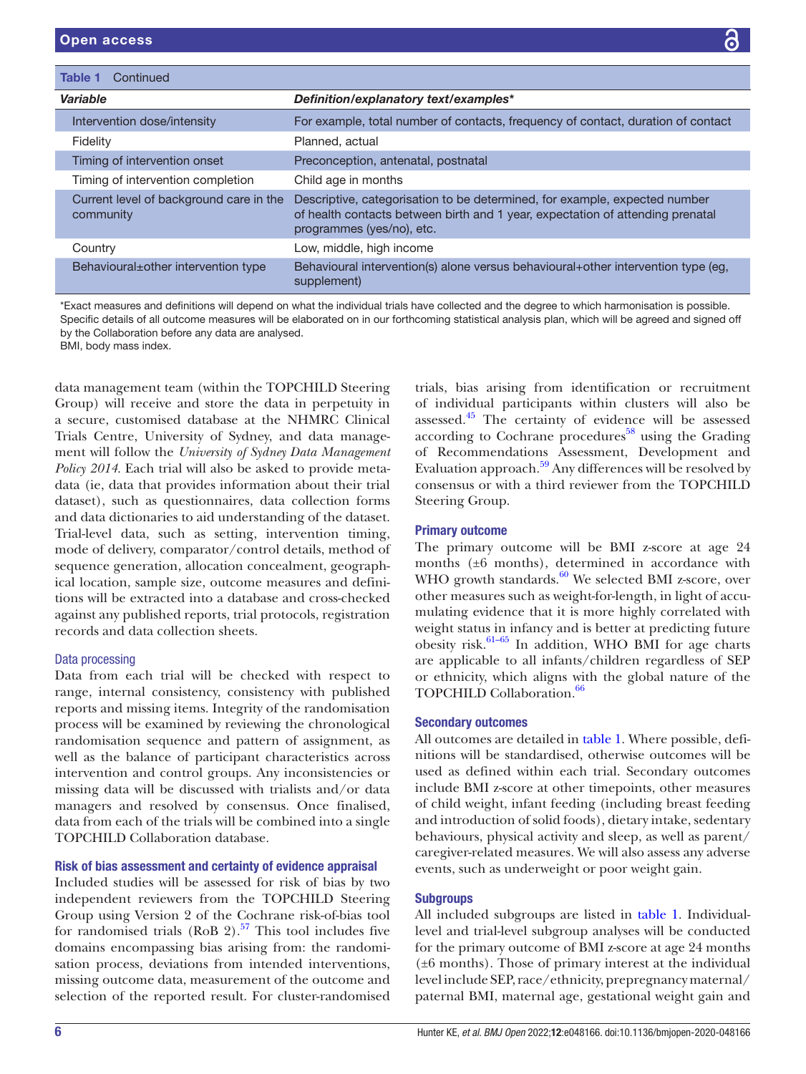| Continued<br>Table 1                                 |                                                                                                                                                                                           |
|------------------------------------------------------|-------------------------------------------------------------------------------------------------------------------------------------------------------------------------------------------|
| Variable                                             | Definition/explanatory text/examples*                                                                                                                                                     |
| Intervention dose/intensity                          | For example, total number of contacts, frequency of contact, duration of contact                                                                                                          |
| Fidelity                                             | Planned, actual                                                                                                                                                                           |
| Timing of intervention onset                         | Preconception, antenatal, postnatal                                                                                                                                                       |
| Timing of intervention completion                    | Child age in months                                                                                                                                                                       |
| Current level of background care in the<br>community | Descriptive, categorisation to be determined, for example, expected number<br>of health contacts between birth and 1 year, expectation of attending prenatal<br>programmes (yes/no), etc. |
| Country                                              | Low, middle, high income                                                                                                                                                                  |
| Behavioural±other intervention type                  | Behavioural intervention(s) alone versus behavioural+other intervention type (eg,<br>supplement)                                                                                          |

\*Exact measures and definitions will depend on what the individual trials have collected and the degree to which harmonisation is possible. Specific details of all outcome measures will be elaborated on in our forthcoming statistical analysis plan, which will be agreed and signed off by the Collaboration before any data are analysed.

BMI, body mass index.

data management team (within the TOPCHILD Steering Group) will receive and store the data in perpetuity in a secure, customised database at the NHMRC Clinical Trials Centre, University of Sydney, and data management will follow the *University of Sydney Data Management Policy 2014*. Each trial will also be asked to provide metadata (ie, data that provides information about their trial dataset), such as questionnaires, data collection forms and data dictionaries to aid understanding of the dataset. Trial-level data, such as setting, intervention timing, mode of delivery, comparator/control details, method of sequence generation, allocation concealment, geographical location, sample size, outcome measures and definitions will be extracted into a database and cross-checked against any published reports, trial protocols, registration records and data collection sheets.

## Data processing

Data from each trial will be checked with respect to range, internal consistency, consistency with published reports and missing items. Integrity of the randomisation process will be examined by reviewing the chronological randomisation sequence and pattern of assignment, as well as the balance of participant characteristics across intervention and control groups. Any inconsistencies or missing data will be discussed with trialists and/or data managers and resolved by consensus. Once finalised, data from each of the trials will be combined into a single TOPCHILD Collaboration database.

# Risk of bias assessment and certainty of evidence appraisal

Included studies will be assessed for risk of bias by two independent reviewers from the TOPCHILD Steering Group using Version 2 of the Cochrane risk-of-bias tool for randomised trials (RoB 2).<sup>57</sup> This tool includes five domains encompassing bias arising from: the randomisation process, deviations from intended interventions, missing outcome data, measurement of the outcome and selection of the reported result. For cluster-randomised

trials, bias arising from identification or recruitment of individual participants within clusters will also be assessed[.45](#page-10-15) The certainty of evidence will be assessed according to Cochrane procedures $58$  using the Grading of Recommendations Assessment, Development and Evaluation approach.<sup>59</sup> Any differences will be resolved by consensus or with a third reviewer from the TOPCHILD Steering Group.

# Primary outcome

The primary outcome will be BMI z-score at age 24 months (±6 months), determined in accordance with WHO growth standards.<sup>[60](#page-10-13)</sup> We selected BMI z-score, over other measures such as weight-for-length, in light of accumulating evidence that it is more highly correlated with weight status in infancy and is better at predicting future obesity risk. $61-65$  In addition, WHO BMI for age charts are applicable to all infants/children regardless of SEP or ethnicity, which aligns with the global nature of the TOPCHILD Collaboration.<sup>[66](#page-10-19)</sup>

# Secondary outcomes

All outcomes are detailed in [table](#page-4-0) 1. Where possible, definitions will be standardised, otherwise outcomes will be used as defined within each trial. Secondary outcomes include BMI z-score at other timepoints, other measures of child weight, infant feeding (including breast feeding and introduction of solid foods), dietary intake, sedentary behaviours, physical activity and sleep, as well as parent/ caregiver-related measures. We will also assess any adverse events, such as underweight or poor weight gain.

# **Subgroups**

All included subgroups are listed in [table](#page-4-0) 1. Individuallevel and trial-level subgroup analyses will be conducted for the primary outcome of BMI z-score at age 24 months (±6 months). Those of primary interest at the individual level include SEP, race/ethnicity, prepregnancy maternal/ paternal BMI, maternal age, gestational weight gain and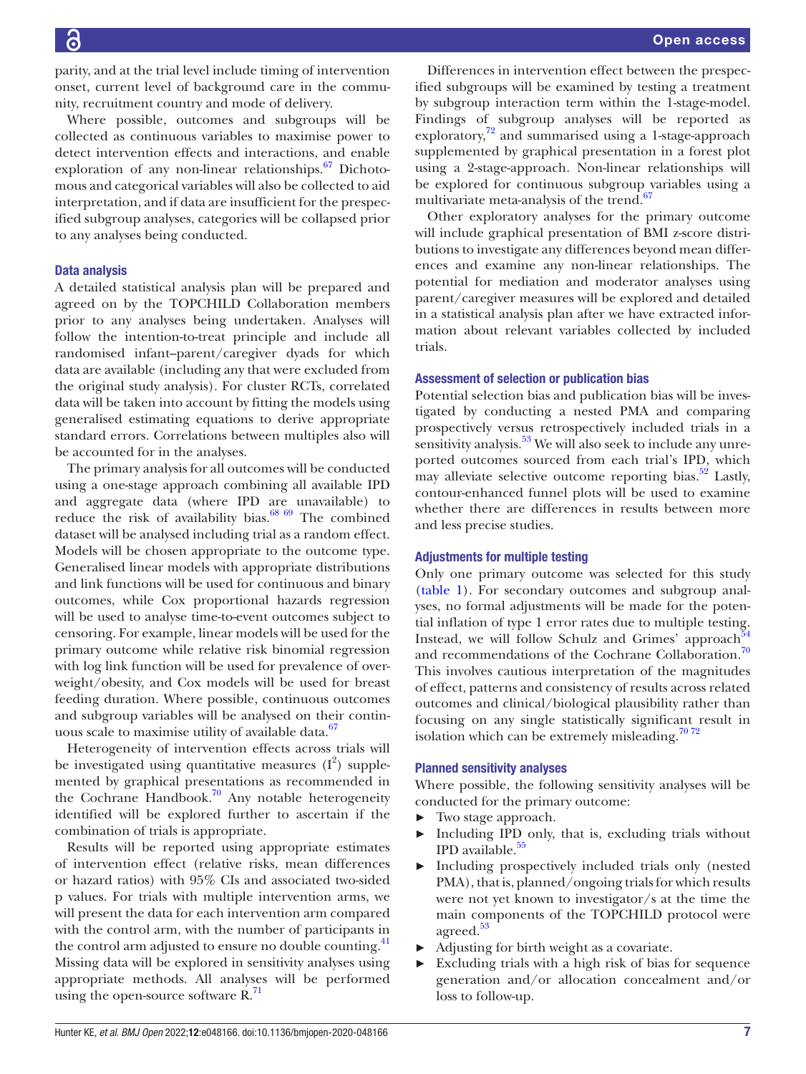Where possible, outcomes and subgroups will be collected as continuous variables to maximise power to detect intervention effects and interactions, and enable exploration of any non-linear relationships.<sup>67</sup> Dichotomous and categorical variables will also be collected to aid interpretation, and if data are insufficient for the prespecified subgroup analyses, categories will be collapsed prior to any analyses being conducted.

# Data analysis

A detailed statistical analysis plan will be prepared and agreed on by the TOPCHILD Collaboration members prior to any analyses being undertaken. Analyses will follow the intention-to-treat principle and include all randomised infant–parent/caregiver dyads for which data are available (including any that were excluded from the original study analysis). For cluster RCTs, correlated data will be taken into account by fitting the models using generalised estimating equations to derive appropriate standard errors. Correlations between multiples also will be accounted for in the analyses.

The primary analysis for all outcomes will be conducted using a one-stage approach combining all available IPD and aggregate data (where IPD are unavailable) to reduce the risk of availability bias. $68\,69$  The combined dataset will be analysed including trial as a random effect. Models will be chosen appropriate to the outcome type. Generalised linear models with appropriate distributions and link functions will be used for continuous and binary outcomes, while Cox proportional hazards regression will be used to analyse time-to-event outcomes subject to censoring. For example, linear models will be used for the primary outcome while relative risk binomial regression with log link function will be used for prevalence of overweight/obesity, and Cox models will be used for breast feeding duration. Where possible, continuous outcomes and subgroup variables will be analysed on their contin-uous scale to maximise utility of available data.<sup>[67](#page-10-20)</sup>

Heterogeneity of intervention effects across trials will be investigated using quantitative measures  $(I^2)$  supplemented by graphical presentations as recommended in the Cochrane Handbook.<sup>70</sup> Any notable heterogeneity identified will be explored further to ascertain if the combination of trials is appropriate.

Results will be reported using appropriate estimates of intervention effect (relative risks, mean differences or hazard ratios) with 95% CIs and associated two-sided p values. For trials with multiple intervention arms, we will present the data for each intervention arm compared with the control arm, with the number of participants in the control arm adjusted to ensure no double counting.<sup>41</sup> Missing data will be explored in sensitivity analyses using appropriate methods. All analyses will be performed using the open-source software  $R^{71}$  $R^{71}$  $R^{71}$ .

Differences in intervention effect between the prespecified subgroups will be examined by testing a treatment by subgroup interaction term within the 1-stage-model. Findings of subgroup analyses will be reported as exploratory,<sup>[72](#page-10-24)</sup> and summarised using a 1-stage-approach supplemented by graphical presentation in a forest plot using a 2-stage-approach. Non-linear relationships will be explored for continuous subgroup variables using a multivariate meta-analysis of the trend. $67$ 

Other exploratory analyses for the primary outcome will include graphical presentation of BMI z-score distributions to investigate any differences beyond mean differences and examine any non-linear relationships. The potential for mediation and moderator analyses using parent/caregiver measures will be explored and detailed in a statistical analysis plan after we have extracted information about relevant variables collected by included trials.

# Assessment of selection or publication bias

Potential selection bias and publication bias will be investigated by conducting a nested PMA and comparing prospectively versus retrospectively included trials in a sensitivity analysis.<sup>53</sup> We will also seek to include any unreported outcomes sourced from each trial's IPD, which may alleviate selective outcome reporting bias.<sup>52</sup> Lastly, contour-enhanced funnel plots will be used to examine whether there are differences in results between more and less precise studies.

## Adjustments for multiple testing

Only one primary outcome was selected for this study [\(table](#page-4-0) 1). For secondary outcomes and subgroup analyses, no formal adjustments will be made for the potential inflation of type 1 error rates due to multiple testing. Instead, we will follow Schulz and Grimes' approach<sup>5</sup> and recommendations of the Cochrane Collaboration.<sup>[70](#page-10-22)</sup> This involves cautious interpretation of the magnitudes of effect, patterns and consistency of results across related outcomes and clinical/biological plausibility rather than focusing on any single statistically significant result in isolation which can be extremely misleading.<sup>[70 72](#page-10-22)</sup>

## Planned sensitivity analyses

Where possible, the following sensitivity analyses will be conducted for the primary outcome:

- ► Two stage approach.
- Including IPD only, that is, excluding trials without IPD available.<sup>[55](#page-10-11)</sup>
- ► Including prospectively included trials only (nested PMA), that is, planned/ongoing trials for which results were not yet known to investigator/s at the time the main components of the TOPCHILD protocol were agreed.<sup>[53](#page-10-9)</sup>
- ► Adjusting for birth weight as a covariate.
- Excluding trials with a high risk of bias for sequence generation and/or allocation concealment and/or loss to follow-up.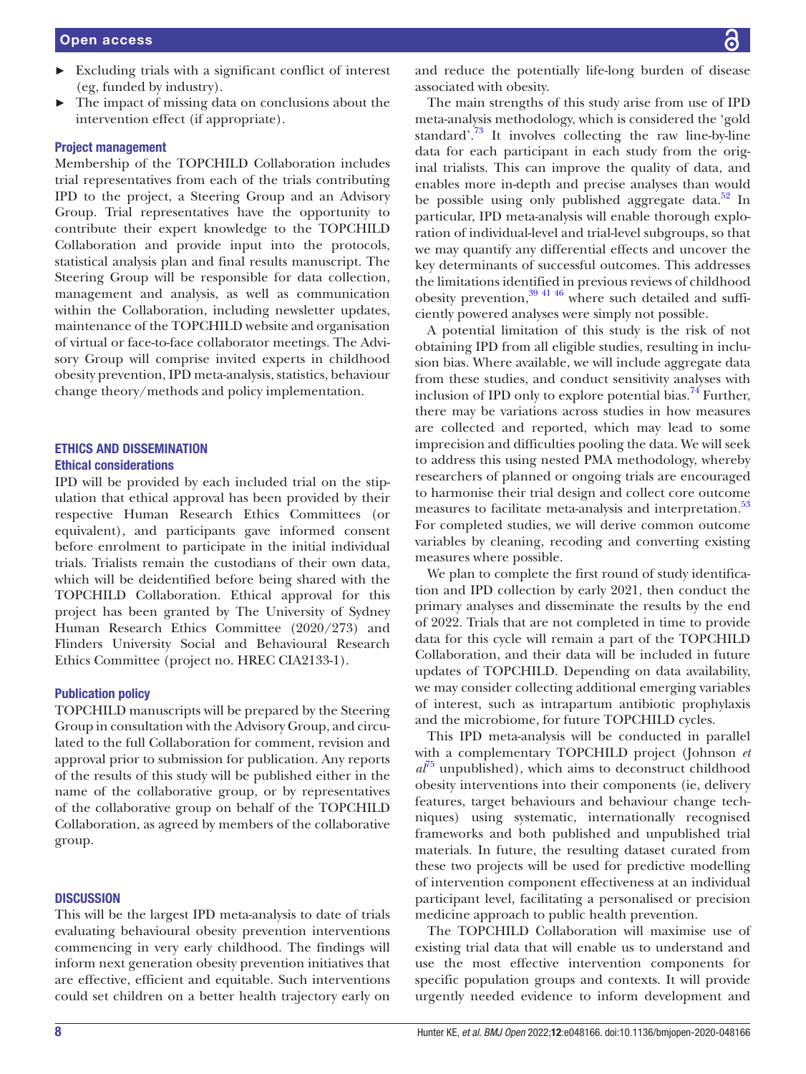- ► Excluding trials with a significant conflict of interest (eg, funded by industry).
- The impact of missing data on conclusions about the intervention effect (if appropriate).

# Project management

Membership of the TOPCHILD Collaboration includes trial representatives from each of the trials contributing IPD to the project, a Steering Group and an Advisory Group. Trial representatives have the opportunity to contribute their expert knowledge to the TOPCHILD Collaboration and provide input into the protocols, statistical analysis plan and final results manuscript. The Steering Group will be responsible for data collection, management and analysis, as well as communication within the Collaboration, including newsletter updates, maintenance of the TOPCHILD website and organisation of virtual or face-to-face collaborator meetings. The Advisory Group will comprise invited experts in childhood obesity prevention, IPD meta-analysis, statistics, behaviour change theory/methods and policy implementation.

# ETHICS AND DISSEMINATION Ethical considerations

IPD will be provided by each included trial on the stipulation that ethical approval has been provided by their respective Human Research Ethics Committees (or equivalent), and participants gave informed consent before enrolment to participate in the initial individual trials. Trialists remain the custodians of their own data, which will be deidentified before being shared with the TOPCHILD Collaboration. Ethical approval for this project has been granted by The University of Sydney Human Research Ethics Committee (2020/273) and Flinders University Social and Behavioural Research Ethics Committee (project no. HREC CIA2133-1).

# Publication policy

TOPCHILD manuscripts will be prepared by the Steering Group in consultation with the Advisory Group, and circulated to the full Collaboration for comment, revision and approval prior to submission for publication. Any reports of the results of this study will be published either in the name of the collaborative group, or by representatives of the collaborative group on behalf of the TOPCHILD Collaboration, as agreed by members of the collaborative group.

#### **DISCUSSION**

This will be the largest IPD meta-analysis to date of trials evaluating behavioural obesity prevention interventions commencing in very early childhood. The findings will inform next generation obesity prevention initiatives that are effective, efficient and equitable. Such interventions could set children on a better health trajectory early on and reduce the potentially life-long burden of disease associated with obesity.

The main strengths of this study arise from use of IPD meta-analysis methodology, which is considered the 'gold standard'. $73$  It involves collecting the raw line-by-line data for each participant in each study from the original trialists. This can improve the quality of data, and enables more in-depth and precise analyses than would be possible using only published aggregate data.<sup>52</sup> In particular, IPD meta-analysis will enable thorough exploration of individual-level and trial-level subgroups, so that we may quantify any differential effects and uncover the key determinants of successful outcomes. This addresses the limitations identified in previous reviews of childhood obesity prevention, $39\frac{41\frac{46}{6}}{60}$  where such detailed and sufficiently powered analyses were simply not possible.

A potential limitation of this study is the risk of not obtaining IPD from all eligible studies, resulting in inclusion bias. Where available, we will include aggregate data from these studies, and conduct sensitivity analyses with inclusion of IPD only to explore potential bias.<sup>74</sup> Further, there may be variations across studies in how measures are collected and reported, which may lead to some imprecision and difficulties pooling the data. We will seek to address this using nested PMA methodology, whereby researchers of planned or ongoing trials are encouraged to harmonise their trial design and collect core outcome measures to facilitate meta-analysis and interpretation.<sup>[53](#page-10-9)</sup> For completed studies, we will derive common outcome variables by cleaning, recoding and converting existing measures where possible.

We plan to complete the first round of study identification and IPD collection by early 2021, then conduct the primary analyses and disseminate the results by the end of 2022. Trials that are not completed in time to provide data for this cycle will remain a part of the TOPCHILD Collaboration, and their data will be included in future updates of TOPCHILD. Depending on data availability, we may consider collecting additional emerging variables of interest, such as intrapartum antibiotic prophylaxis and the microbiome, for future TOPCHILD cycles.

This IPD meta-analysis will be conducted in parallel with a complementary TOPCHILD project (Johnson *et*   $a^{j}$ <sup>n</sup> unpublished), which aims to deconstruct childhood obesity interventions into their components (ie, delivery features, target behaviours and behaviour change techniques) using systematic, internationally recognised frameworks and both published and unpublished trial materials. In future, the resulting dataset curated from these two projects will be used for predictive modelling of intervention component effectiveness at an individual participant level, facilitating a personalised or precision medicine approach to public health prevention.

The TOPCHILD Collaboration will maximise use of existing trial data that will enable us to understand and use the most effective intervention components for specific population groups and contexts. It will provide urgently needed evidence to inform development and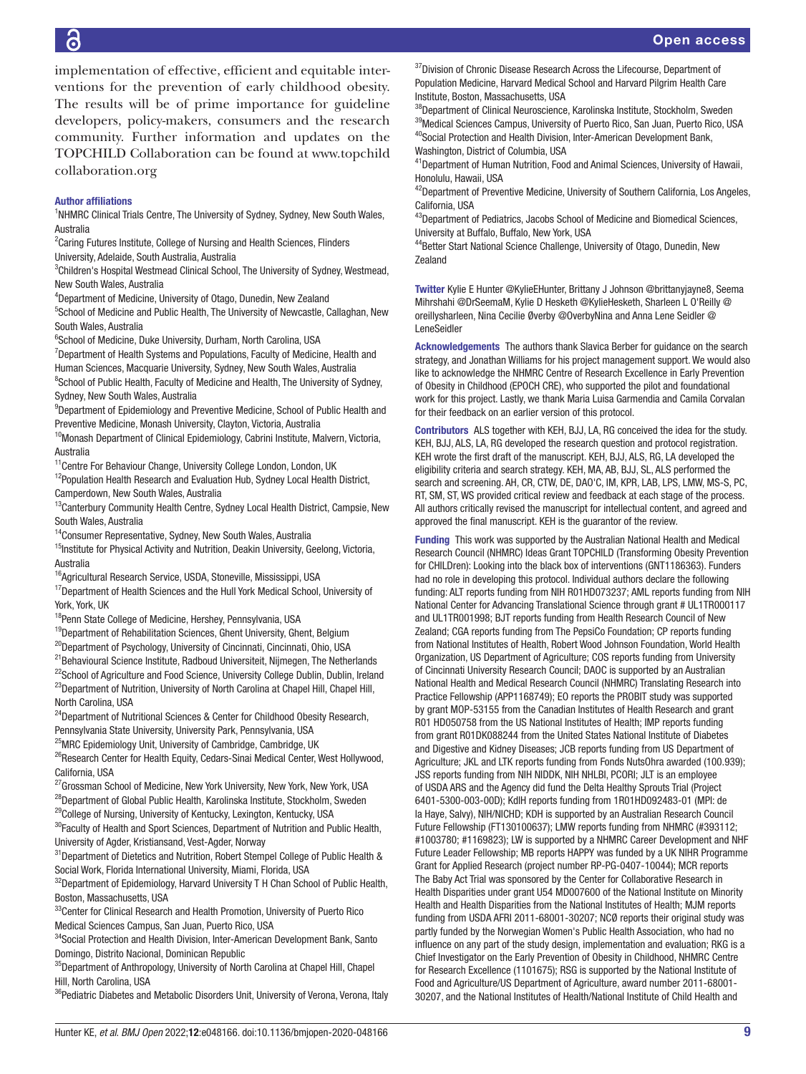6

implementation of effective, efficient and equitable interventions for the prevention of early childhood obesity. The results will be of prime importance for guideline developers, policy-makers, consumers and the research community. Further information and updates on the TOPCHILD Collaboration can be found at [www.topchild](http://www.topchildcollaboration.org) [collaboration.org](http://www.topchildcollaboration.org)

#### Author affiliations

<sup>1</sup>NHMRC Clinical Trials Centre, The University of Sydney, Sydney, New South Wales, Australia

<sup>2</sup> Caring Futures Institute, College of Nursing and Health Sciences, Flinders University, Adelaide, South Australia, Australia

<sup>3</sup>Children's Hospital Westmead Clinical School, The University of Sydney, Westmead, New South Wales, Australia

4 Department of Medicine, University of Otago, Dunedin, New Zealand

<sup>5</sup>School of Medicine and Public Health, The University of Newcastle, Callaghan, New South Wales, Australia

6 School of Medicine, Duke University, Durham, North Carolina, USA

<sup>7</sup>Department of Health Systems and Populations, Faculty of Medicine, Health and Human Sciences, Macquarie University, Sydney, New South Wales, Australia <sup>8</sup>School of Public Health, Faculty of Medicine and Health, The University of Sydney,

Sydney, New South Wales, Australia <sup>9</sup>Department of Epidemiology and Preventive Medicine, School of Public Health and Preventive Medicine, Monash University, Clayton, Victoria, Australia

<sup>10</sup>Monash Department of Clinical Epidemiology, Cabrini Institute, Malvern, Victoria, Australia

<sup>11</sup>Centre For Behaviour Change, University College London, London, UK

<sup>12</sup>Population Health Research and Evaluation Hub, Sydney Local Health District, Camperdown, New South Wales, Australia

<sup>13</sup>Canterbury Community Health Centre, Sydney Local Health District, Campsie, New South Wales, Australia

14Consumer Representative, Sydney, New South Wales, Australia

 $15$ Institute for Physical Activity and Nutrition, Deakin University, Geelong, Victoria, Australia

<sup>16</sup> Agricultural Research Service, USDA, Stoneville, Mississippi, USA

<sup>17</sup>Department of Health Sciences and the Hull York Medical School, University of York, York, UK

<sup>18</sup>Penn State College of Medicine, Hershey, Pennsylvania, USA

<sup>19</sup>Department of Rehabilitation Sciences, Ghent University, Ghent, Belgium

<sup>20</sup>Department of Psychology, University of Cincinnati, Cincinnati, Ohio, USA

<sup>21</sup>Behavioural Science Institute, Radboud Universiteit, Nijmegen, The Netherlands

<sup>22</sup>School of Agriculture and Food Science, University College Dublin, Dublin, Ireland <sup>23</sup>Department of Nutrition, University of North Carolina at Chapel Hill, Chapel Hill,

North Carolina, USA <sup>24</sup>Department of Nutritional Sciences & Center for Childhood Obesity Research,

Pennsylvania State University, University Park, Pennsylvania, USA

<sup>25</sup>MRC Epidemiology Unit, University of Cambridge, Cambridge, UK

<sup>26</sup>Research Center for Health Equity, Cedars-Sinai Medical Center, West Hollywood, California, USA

<sup>27</sup>Grossman School of Medicine, New York University, New York, New York, USA  $^{28}$ Department of Global Public Health, Karolinska Institute, Stockholm, Sweden

<sup>29</sup>College of Nursing, University of Kentucky, Lexington, Kentucky, USA

 $30$ Faculty of Health and Sport Sciences, Department of Nutrition and Public Health, University of Agder, Kristiansand, Vest-Agder, Norway

<sup>31</sup>Department of Dietetics and Nutrition, Robert Stempel College of Public Health & Social Work, Florida International University, Miami, Florida, USA

 $32$ Department of Epidemiology, Harvard University T H Chan School of Public Health, Boston, Massachusetts, USA

<sup>33</sup>Center for Clinical Research and Health Promotion, University of Puerto Rico Medical Sciences Campus, San Juan, Puerto Rico, USA

<sup>34</sup>Social Protection and Health Division, Inter-American Development Bank, Santo Domingo, Distrito Nacional, Dominican Republic

<sup>35</sup>Department of Anthropology, University of North Carolina at Chapel Hill, Chapel Hill, North Carolina, USA

<sup>36</sup>Pediatric Diabetes and Metabolic Disorders Unit, University of Verona, Verona, Italy

 $37$ Division of Chronic Disease Research Across the Lifecourse, Department of Population Medicine, Harvard Medical School and Harvard Pilgrim Health Care Institute, Boston, Massachusetts, USA

<sup>38</sup>Department of Clinical Neuroscience, Karolinska Institute, Stockholm, Sweden <sup>39</sup>Medical Sciences Campus, University of Puerto Rico, San Juan, Puerto Rico, USA 40Social Protection and Health Division, Inter-American Development Bank, Washington, District of Columbia, USA

<sup>41</sup> Department of Human Nutrition, Food and Animal Sciences, University of Hawaii, Honolulu, Hawaii, USA

<sup>42</sup>Department of Preventive Medicine, University of Southern California, Los Angeles, California, USA

43Department of Pediatrics, Jacobs School of Medicine and Biomedical Sciences, University at Buffalo, Buffalo, New York, USA

44Better Start National Science Challenge, University of Otago, Dunedin, New Zealand

Twitter Kylie E Hunter [@KylieEHunter](https://twitter.com/KylieEHunter), Brittany J Johnson [@brittanyjayne8,](https://twitter.com/brittanyjayne8) Seema Mihrshahi [@DrSeemaM](https://twitter.com/DrSeemaM), Kylie D Hesketh [@KylieHesketh](https://twitter.com/KylieHesketh), Sharleen L O'Reilly [@](https://twitter.com/oreillysharleen) [oreillysharleen,](https://twitter.com/oreillysharleen) Nina Cecilie Øverby [@OverbyNina](https://twitter.com/OverbyNina) and Anna Lene Seidler [@](https://twitter.com/LeneSeidler) [LeneSeidler](https://twitter.com/LeneSeidler)

Acknowledgements The authors thank Slavica Berber for guidance on the search strategy, and Jonathan Williams for his project management support. We would also like to acknowledge the NHMRC Centre of Research Excellence in Early Prevention of Obesity in Childhood (EPOCH CRE), who supported the pilot and foundational work for this project. Lastly, we thank Maria Luisa Garmendia and Camila Corvalan for their feedback on an earlier version of this protocol.

Contributors ALS together with KEH, BJJ, LA, RG conceived the idea for the study. KEH, BJJ, ALS, LA, RG developed the research question and protocol registration. KEH wrote the first draft of the manuscript. KEH, BJJ, ALS, RG, LA developed the eligibility criteria and search strategy. KEH, MA, AB, BJJ, SL, ALS performed the search and screening. AH, CR, CTW, DE, DAO'C, IM, KPR, LAB, LPS, LMW, MS-S, PC, RT, SM, ST, WS provided critical review and feedback at each stage of the process. All authors critically revised the manuscript for intellectual content, and agreed and approved the final manuscript. KEH is the guarantor of the review.

Funding This work was supported by the Australian National Health and Medical Research Council (NHMRC) Ideas Grant TOPCHILD (Transforming Obesity Prevention for CHILDren): Looking into the black box of interventions (GNT1186363). Funders had no role in developing this protocol. Individual authors declare the following funding: ALT reports funding from NIH R01HD073237; AML reports funding from NIH National Center for Advancing Translational Science through grant # UL1TR000117 and UL1TR001998; BJT reports funding from Health Research Council of New Zealand; CGA reports funding from The PepsiCo Foundation; CP reports funding from National Institutes of Health, Robert Wood Johnson Foundation, World Health Organization, US Department of Agriculture; COS reports funding from University of Cincinnati University Research Council; DAOC is supported by an Australian National Health and Medical Research Council (NHMRC) Translating Research into Practice Fellowship (APP1168749); EO reports the PROBIT study was supported by grant MOP-53155 from the Canadian Institutes of Health Research and grant R01 HD050758 from the US National Institutes of Health; IMP reports funding from grant R01DK088244 from the United States National Institute of Diabetes and Digestive and Kidney Diseases; JCB reports funding from US Department of Agriculture; JKL and LTK reports funding from Fonds NutsOhra awarded (100.939); JSS reports funding from NIH NIDDK, NIH NHLBI, PCORI; JLT is an employee of USDA ARS and the Agency did fund the Delta Healthy Sprouts Trial (Project 6401-5300-003-00D); KdlH reports funding from 1R01HD092483-01 (MPI: de la Haye, Salvy), NIH/NICHD; KDH is supported by an Australian Research Council Future Fellowship (FT130100637); LMW reports funding from NHMRC (#393112; #1003780; #1169823); LW is supported by a NHMRC Career Development and NHF Future Leader Fellowship; MB reports HAPPY was funded by a UK NIHR Programme Grant for Applied Research (project number RP-PG-0407-10044); MCR reports The Baby Act Trial was sponsored by the Center for Collaborative Research in Health Disparities under grant U54 MD007600 of the National Institute on Minority Health and Health Disparities from the National Institutes of Health; MJM reports funding from USDA AFRI 2011-68001-30207; NCØ reports their original study was partly funded by the Norwegian Women's Public Health Association, who had no influence on any part of the study design, implementation and evaluation; RKG is a Chief Investigator on the Early Prevention of Obesity in Childhood, NHMRC Centre for Research Excellence (1101675); RSG is supported by the National Institute of Food and Agriculture/US Department of Agriculture, award number 2011-68001- 30207, and the National Institutes of Health/National Institute of Child Health and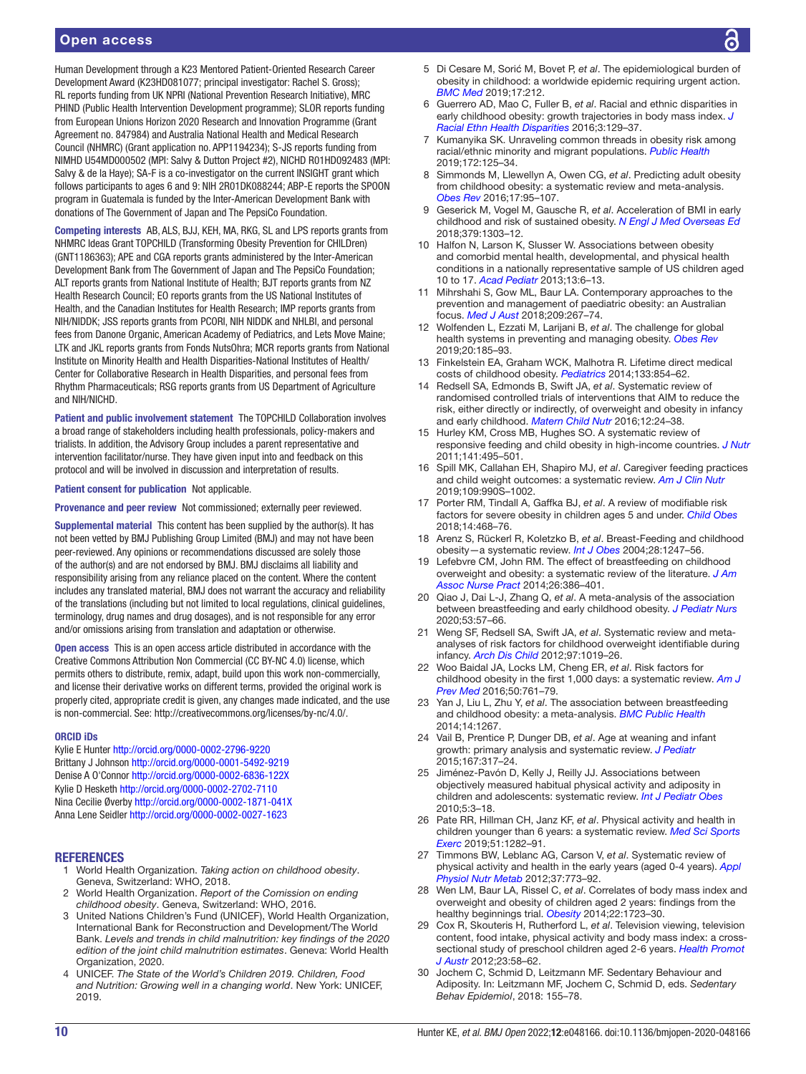Human Development through a K23 Mentored Patient-Oriented Research Career Development Award (K23HD081077; principal investigator: Rachel S. Gross); RL reports funding from UK NPRI (National Prevention Research Initiative), MRC PHIND (Public Health Intervention Development programme); SLOR reports funding from European Unions Horizon 2020 Research and Innovation Programme (Grant Agreement no. 847984) and Australia National Health and Medical Research Council (NHMRC) (Grant application no. APP1194234); S-JS reports funding from NIMHD U54MD000502 (MPI: Salvy & Dutton Project #2), NICHD R01HD092483 (MPI: Salvy & de la Haye); SA-F is a co-investigator on the current INSIGHT grant which follows participants to ages 6 and 9: NIH 2R01DK088244; ABP-E reports the SPOON program in Guatemala is funded by the Inter-American Development Bank with donations of The Government of Japan and The PepsiCo Foundation.

Competing interests AB, ALS, BJJ, KEH, MA, RKG, SL and LPS reports grants from NHMRC Ideas Grant TOPCHILD (Transforming Obesity Prevention for CHILDren) (GNT1186363); APE and CGA reports grants administered by the Inter-American Development Bank from The Government of Japan and The PepsiCo Foundation; ALT reports grants from National Institute of Health; BJT reports grants from NZ Health Research Council; EO reports grants from the US National Institutes of Health, and the Canadian Institutes for Health Research; IMP reports grants from NIH/NIDDK; JSS reports grants from PCORI, NIH NIDDK and NHLBI, and personal fees from Danone Organic, American Academy of Pediatrics, and Lets Move Maine; LTK and JKL reports grants from Fonds NutsOhra; MCR reports grants from National Institute on Minority Health and Health Disparities-National Institutes of Health/ Center for Collaborative Research in Health Disparities, and personal fees from Rhythm Pharmaceuticals; RSG reports grants from US Department of Agriculture and NIH/NICHD.

Patient and public involvement statement The TOPCHILD Collaboration involves a broad range of stakeholders including health professionals, policy-makers and trialists. In addition, the Advisory Group includes a parent representative and intervention facilitator/nurse. They have given input into and feedback on this protocol and will be involved in discussion and interpretation of results.

#### Patient consent for publication Not applicable.

Provenance and peer review Not commissioned; externally peer reviewed.

Supplemental material This content has been supplied by the author(s). It has not been vetted by BMJ Publishing Group Limited (BMJ) and may not have been peer-reviewed. Any opinions or recommendations discussed are solely those of the author(s) and are not endorsed by BMJ. BMJ disclaims all liability and responsibility arising from any reliance placed on the content. Where the content includes any translated material, BMJ does not warrant the accuracy and reliability of the translations (including but not limited to local regulations, clinical guidelines, terminology, drug names and drug dosages), and is not responsible for any error and/or omissions arising from translation and adaptation or otherwise.

Open access This is an open access article distributed in accordance with the Creative Commons Attribution Non Commercial (CC BY-NC 4.0) license, which permits others to distribute, remix, adapt, build upon this work non-commercially, and license their derivative works on different terms, provided the original work is properly cited, appropriate credit is given, any changes made indicated, and the use is non-commercial. See: [http://creativecommons.org/licenses/by-nc/4.0/.](http://creativecommons.org/licenses/by-nc/4.0/)

#### ORCID iDs

Kylie E Hunter <http://orcid.org/0000-0002-2796-9220> Brittany J Johnson<http://orcid.org/0000-0001-5492-9219> Denise A O'Connor <http://orcid.org/0000-0002-6836-122X> Kylie D Hesketh <http://orcid.org/0000-0002-2702-7110> Nina Cecilie Øverby <http://orcid.org/0000-0002-1871-041X> Anna Lene Seidler<http://orcid.org/0000-0002-0027-1623>

#### REFERENCES

- <span id="page-9-0"></span>1 World Health Organization. *Taking action on childhood obesity*. Geneva, Switzerland: WHO, 2018.
- <span id="page-9-15"></span>2 World Health Organization. *Report of the Comission on ending childhood obesity*. Geneva, Switzerland: WHO, 2016.
- <span id="page-9-1"></span>3 United Nations Children's Fund (UNICEF), World Health Organization, International Bank for Reconstruction and Development/The World Bank. *Levels and trends in child malnutrition: key findings of the 2020 edition of the joint child malnutrition estimates*. Geneva: World Health Organization, 2020.
- <span id="page-9-2"></span>4 UNICEF. *The State of the World's Children 2019. Children, Food and Nutrition: Growing well in a changing world*. New York: UNICEF, 2019.
- 5 Di Cesare M, Sorić M, Bovet P, *et al*. The epidemiological burden of obesity in childhood: a worldwide epidemic requiring urgent action. *[BMC Med](http://dx.doi.org/10.1186/s12916-019-1449-8)* 2019;17:212.
- <span id="page-9-3"></span>6 Guerrero AD, Mao C, Fuller B, *et al*. Racial and ethnic disparities in early childhood obesity: growth trajectories in body mass index. *[J](http://dx.doi.org/10.1007/s40615-015-0122-y)  [Racial Ethn Health Disparities](http://dx.doi.org/10.1007/s40615-015-0122-y)* 2016;3:129–37.
- 7 Kumanyika SK. Unraveling common threads in obesity risk among racial/ethnic minority and migrant populations. *[Public Health](http://dx.doi.org/10.1016/j.puhe.2019.04.010)* 2019;172:125–34.
- <span id="page-9-4"></span>8 Simmonds M, Llewellyn A, Owen CG, *et al*. Predicting adult obesity from childhood obesity: a systematic review and meta-analysis. *[Obes Rev](http://dx.doi.org/10.1111/obr.12334)* 2016;17:95–107.
- 9 Geserick M, Vogel M, Gausche R, *et al*. Acceleration of BMI in early childhood and risk of sustained obesity. *[N Engl J Med Overseas Ed](http://dx.doi.org/10.1056/NEJMoa1803527)* 2018;379:1303–12.
- <span id="page-9-5"></span>10 Halfon N, Larson K, Slusser W. Associations between obesity and comorbid mental health, developmental, and physical health conditions in a nationally representative sample of US children aged 10 to 17. *[Acad Pediatr](http://dx.doi.org/10.1016/j.acap.2012.10.007)* 2013;13:6–13.
- 11 Mihrshahi S, Gow ML, Baur LA. Contemporary approaches to the prevention and management of paediatric obesity: an Australian focus. *[Med J Aust](http://dx.doi.org/10.5694/mja18.00140)* 2018;209:267–74.
- <span id="page-9-6"></span>12 Wolfenden L, Ezzati M, Larijani B, *et al*. The challenge for global health systems in preventing and managing obesity. *[Obes Rev](http://dx.doi.org/10.1111/obr.12872)* 2019;20:185–93.
- <span id="page-9-7"></span>13 Finkelstein EA, Graham WCK, Malhotra R. Lifetime direct medical costs of childhood obesity. *[Pediatrics](http://dx.doi.org/10.1542/peds.2014-0063)* 2014;133:854–62.
- <span id="page-9-8"></span>14 Redsell SA, Edmonds B, Swift JA, *et al*. Systematic review of randomised controlled trials of interventions that AIM to reduce the risk, either directly or indirectly, of overweight and obesity in infancy and early childhood. *[Matern Child Nutr](http://dx.doi.org/10.1111/mcn.12184)* 2016;12:24–38.
- 15 Hurley KM, Cross MB, Hughes SO. A systematic review of responsive feeding and child obesity in high-income countries. *[J Nutr](http://dx.doi.org/10.3945/jn.110.130047)* 2011;141:495–501.
- 16 Spill MK, Callahan EH, Shapiro MJ, *et al*. Caregiver feeding practices and child weight outcomes: a systematic review. *[Am J Clin Nutr](http://dx.doi.org/10.1093/ajcn/nqy276)* 2019;109:990S–1002.
- <span id="page-9-9"></span>17 Porter RM, Tindall A, Gaffka BJ, *et al*. A review of modifiable risk factors for severe obesity in children ages 5 and under. *[Child Obes](http://dx.doi.org/10.1089/chi.2017.0344)* 2018;14:468–76.
- <span id="page-9-10"></span>18 Arenz S, Rückerl R, Koletzko B, *et al*. Breast-Feeding and childhood obesity—a systematic review. *[Int J Obes](http://dx.doi.org/10.1038/sj.ijo.0802758)* 2004;28:1247–56.
- 19 Lefebvre CM, John RM. The effect of breastfeeding on childhood overweight and obesity: a systematic review of the literature. *[J Am](http://dx.doi.org/10.1002/2327-6924.12036)  [Assoc Nurse Pract](http://dx.doi.org/10.1002/2327-6924.12036)* 2014;26:386–401.
- 20 Qiao J, Dai L-J, Zhang Q, *et al*. A meta-analysis of the association between breastfeeding and early childhood obesity. *[J Pediatr Nurs](http://dx.doi.org/10.1016/j.pedn.2020.04.024)* 2020;53:57–66.
- 21 Weng SF, Redsell SA, Swift JA, *et al*. Systematic review and metaanalyses of risk factors for childhood overweight identifiable during infancy. *[Arch Dis Child](http://dx.doi.org/10.1136/archdischild-2012-302263)* 2012;97:1019–26.
- 22 Woo Baidal JA, Locks LM, Cheng ER, *et al*. Risk factors for childhood obesity in the first 1,000 days: a systematic review. *[Am J](http://dx.doi.org/10.1016/j.amepre.2015.11.012)  [Prev Med](http://dx.doi.org/10.1016/j.amepre.2015.11.012)* 2016;50:761–79.
- 23 Yan J, Liu L, Zhu Y, *et al*. The association between breastfeeding and childhood obesity: a meta-analysis. *[BMC Public Health](http://dx.doi.org/10.1186/1471-2458-14-1267)* 2014;14:1267.
- <span id="page-9-11"></span>24 Vail B, Prentice P, Dunger DB, *et al*. Age at weaning and infant growth: primary analysis and systematic review. *[J Pediatr](http://dx.doi.org/10.1016/j.jpeds.2015.05.003)* 2015;167:317–24.
- <span id="page-9-12"></span>25 Jiménez-Pavón D, Kelly J, Reilly JJ. Associations between objectively measured habitual physical activity and adiposity in children and adolescents: systematic review. *[Int J Pediatr Obes](http://dx.doi.org/10.3109/17477160903067601)* 2010;5:3–18.
- 26 Pate RR, Hillman CH, Janz KF, *et al*. Physical activity and health in children younger than 6 years: a systematic review. *[Med Sci Sports](http://dx.doi.org/10.1249/MSS.0000000000001940)  [Exerc](http://dx.doi.org/10.1249/MSS.0000000000001940)* 2019;51:1282–91.
- 27 Timmons BW, Leblanc AG, Carson V, *et al*. Systematic review of physical activity and health in the early years (aged 0-4 years). *[Appl](http://dx.doi.org/10.1139/h2012-070)  [Physiol Nutr Metab](http://dx.doi.org/10.1139/h2012-070)* 2012;37:773–92.
- <span id="page-9-13"></span>28 Wen LM, Baur LA, Rissel C, *et al*. Correlates of body mass index and overweight and obesity of children aged 2 years: findings from the healthy beginnings trial. *[Obesity](http://dx.doi.org/10.1002/oby.20700)* 2014;22:1723–30.
- 29 Cox R, Skouteris H, Rutherford L, *et al*. Television viewing, television content, food intake, physical activity and body mass index: a crosssectional study of preschool children aged 2-6 years. *[Health Promot](http://dx.doi.org/10.1071/HE12058)  [J Austr](http://dx.doi.org/10.1071/HE12058)* 2012;23:58–62.
- <span id="page-9-14"></span>30 Jochem C, Schmid D, Leitzmann MF. Sedentary Behaviour and Adiposity. In: Leitzmann MF, Jochem C, Schmid D, eds. *Sedentary Behav Epidemiol*, 2018: 155–78.